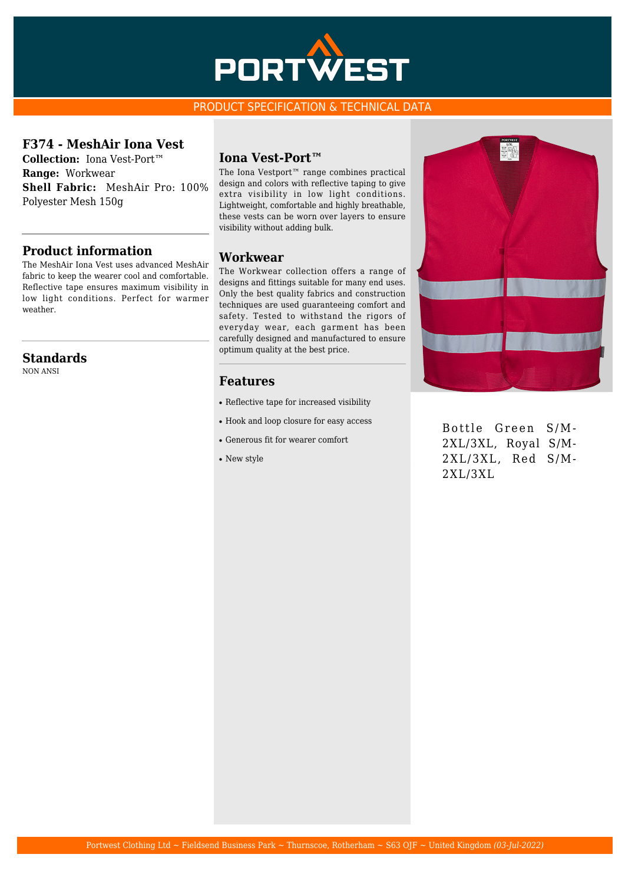

#### PRODUCT SPECIFICATION & TECHNICAL DATA

### **F374 - MeshAir Iona Vest**

**Collection:** Iona Vest-Port™ **Range:** Workwear **Shell Fabric:** MeshAir Pro: 100% Polyester Mesh 150g

## **Product information**

The MeshAir Iona Vest uses advanced MeshAir fabric to keep the wearer cool and comfortable. Reflective tape ensures maximum visibility in low light conditions. Perfect for warmer weather.

## **Standards**

NON ANSI

#### **Iona Vest-Port™**

The Iona Vestport™ range combines practical design and colors with reflective taping to give extra visibility in low light conditions. Lightweight, comfortable and highly breathable, these vests can be worn over layers to ensure visibility without adding bulk.

#### **Workwear**

The Workwear collection offers a range of designs and fittings suitable for many end uses. Only the best quality fabrics and construction techniques are used guaranteeing comfort and safety. Tested to withstand the rigors of everyday wear, each garment has been carefully designed and manufactured to ensure optimum quality at the best price.

#### **Features**

- Reflective tape for increased visibility
- Hook and loop closure for easy access
- Generous fit for wearer comfort
- New style



Bottle Green S/M-2XL/3XL, Royal S/M-2XL/3XL, Red S/M-2XL/3XL